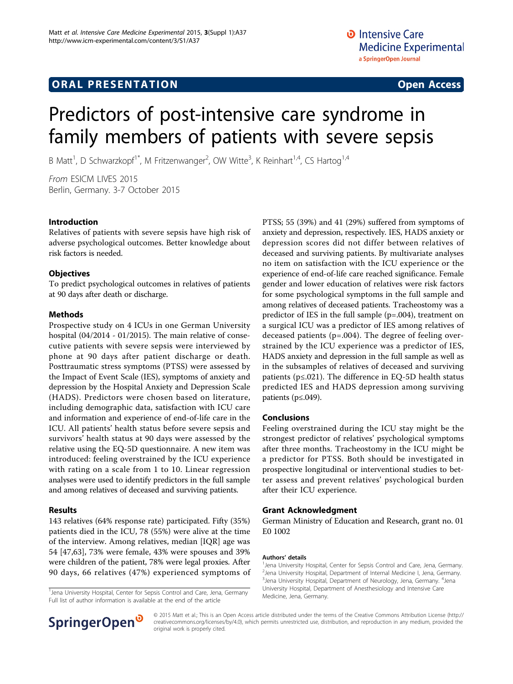## **ORAL PRESENTATION CONSUMING ACCESS**

# Predictors of post-intensive care syndrome in family members of patients with severe sepsis

B Matt<sup>1</sup>, D Schwarzkopf<sup>1\*</sup>, M Fritzenwanger<sup>2</sup>, OW Witte<sup>3</sup>, K Reinhart<sup>1,4</sup>, CS Hartog<sup>1,4</sup>

From ESICM LIVES 2015 Berlin, Germany. 3-7 October 2015

#### Introduction

Relatives of patients with severe sepsis have high risk of adverse psychological outcomes. Better knowledge about risk factors is needed.

#### **Objectives**

To predict psychological outcomes in relatives of patients at 90 days after death or discharge.

#### Methods

Prospective study on 4 ICUs in one German University hospital (04/2014 - 01/2015). The main relative of consecutive patients with severe sepsis were interviewed by phone at 90 days after patient discharge or death. Posttraumatic stress symptoms (PTSS) were assessed by the Impact of Event Scale (IES), symptoms of anxiety and depression by the Hospital Anxiety and Depression Scale (HADS). Predictors were chosen based on literature, including demographic data, satisfaction with ICU care and information and experience of end-of-life care in the ICU. All patients' health status before severe sepsis and survivors' health status at 90 days were assessed by the relative using the EQ-5D questionnaire. A new item was introduced: feeling overstrained by the ICU experience with rating on a scale from 1 to 10. Linear regression analyses were used to identify predictors in the full sample and among relatives of deceased and surviving patients.

#### Results

143 relatives (64% response rate) participated. Fifty (35%) patients died in the ICU, 78 (55%) were alive at the time of the interview. Among relatives, median [IQR] age was 54 [47,63], 73% were female, 43% were spouses and 39% were children of the patient, 78% were legal proxies. After 90 days, 66 relatives (47%) experienced symptoms of

<sup>1</sup> Jena University Hospital, Center for Sepsis Control and Care, Jena, Germany Full list of author information is available at the end of the article



#### Conclusions

Feeling overstrained during the ICU stay might be the strongest predictor of relatives' psychological symptoms after three months. Tracheostomy in the ICU might be a predictor for PTSS. Both should be investigated in prospective longitudinal or interventional studies to better assess and prevent relatives' psychological burden after their ICU experience.

#### Grant Acknowledgment

German Ministry of Education and Research, grant no. 01 E0 1002

#### Authors' details <sup>1</sup>

Jena University Hospital, Center for Sepsis Control and Care, Jena, Germany. <sup>2</sup> Jena University Hospital, Department of Internal Medicine I, Jena, Germany <sup>3</sup> Jena University Hospital, Department of Neurology, Jena, Germany. <sup>4</sup> Jena University Hospital, Department of Anesthesiology and Intensive Care Medicine, Jena, Germany.



© 2015 Matt et al.; This is an Open Access article distributed under the terms of the Creative Commons Attribution License [\(http://](http://creativecommons.org/licenses/by/4.0) [creativecommons.org/licenses/by/4.0](http://creativecommons.org/licenses/by/4.0)), which permits unrestricted use, distribution, and reproduction in any medium, provided the original work is properly cited.